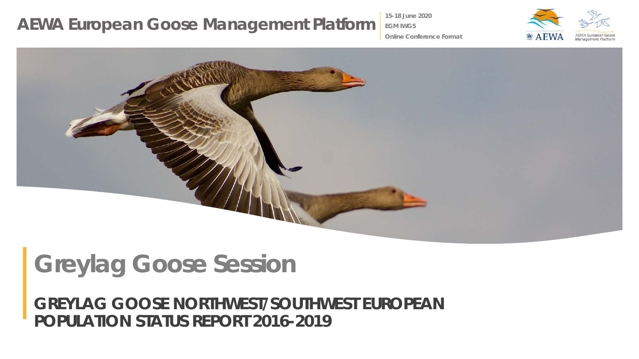**15-18 June 2020**

**EGM IWG5**



**Online Conference Format**



# **Greylag Goose Session**

*GREYLAG GOOSE NORTHWEST/SOUTHWEST EUROPEAN POPULATION STATUS REPORT 2016-2019*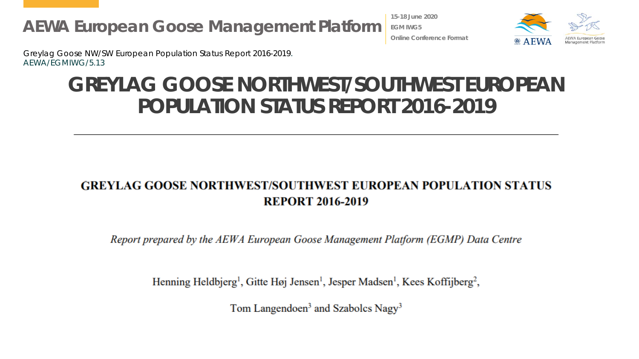**15-18 June 2020 EGM IWG5 Online Conference Format**



Greylag Goose NW/SW European Population Status Report 2016-2019. AEWA/EGMIWG/5.13

#### **GREYLAG GOOSE NORTHWEST/SOUTHWEST EUROPEAN POPULATION STATUS REPORT 2016-2019**

#### **GREYLAG GOOSE NORTHWEST/SOUTHWEST EUROPEAN POPULATION STATUS REPORT 2016-2019**

Report prepared by the AEWA European Goose Management Platform (EGMP) Data Centre

Henning Heldbjerg<sup>1</sup>, Gitte Høj Jensen<sup>1</sup>, Jesper Madsen<sup>1</sup>, Kees Koffijberg<sup>2</sup>,

Tom Langendoen<sup>3</sup> and Szabolcs Nagy<sup>3</sup>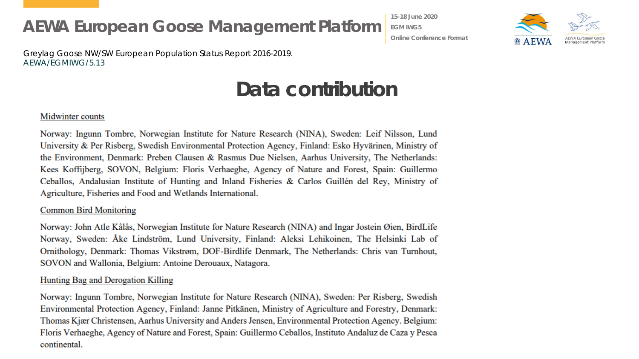**15-18 June 2020 EGM IWG5 Online Conference Format**



Greylag Goose NW/SW European Population Status Report 2016-2019. AEWA/EGMIWG/5.13

#### **Data contribution**

#### Midwinter counts

Norway: Ingunn Tombre, Norwegian Institute for Nature Research (NINA), Sweden: Leif Nilsson, Lund University & Per Risberg, Swedish Environmental Protection Agency, Finland: Esko Hyvärinen, Ministry of the Environment, Denmark: Preben Clausen & Rasmus Due Nielsen, Aarhus University, The Netherlands: Kees Koffijberg, SOVON, Belgium: Floris Verhaeghe, Agency of Nature and Forest, Spain: Guillermo Ceballos, Andalusian Institute of Hunting and Inland Fisheries & Carlos Guillén del Rey, Ministry of Agriculture, Fisheries and Food and Wetlands International.

#### **Common Bird Monitoring**

Norway: John Atle Kålås, Norwegian Institute for Nature Research (NINA) and Ingar Jostein Øien, BirdLife Norway, Sweden: Åke Lindström, Lund University, Finland: Aleksi Lehikoinen, The Helsinki Lab of Ornithology, Denmark: Thomas Vikstrøm, DOF-Birdlife Denmark, The Netherlands: Chris van Turnhout, SOVON and Wallonia, Belgium: Antoine Derouaux, Natagora.

#### Hunting Bag and Derogation Killing

Norway: Ingunn Tombre, Norwegian Institute for Nature Research (NINA), Sweden: Per Risberg, Swedish Environmental Protection Agency, Finland: Janne Pitkänen, Ministry of Agriculture and Forestry, Denmark: Thomas Kjær Christensen, Aarhus University and Anders Jensen, Environmental Protection Agency. Belgium: Floris Verhaeghe, Agency of Nature and Forest, Spain: Guillermo Ceballos, Instituto Andaluz de Caza y Pesca continental.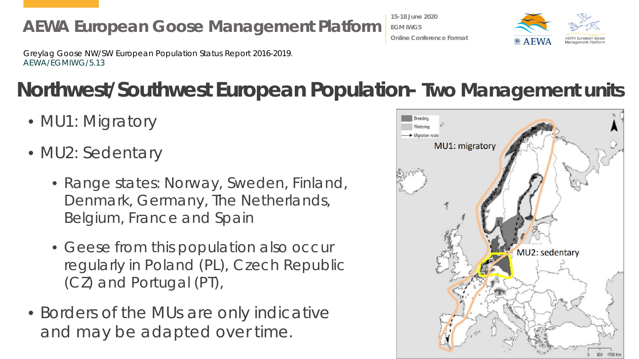Greylag Goose NW/SW European Population Status Report 2016-2019. AEWA/EGMIWG/5.13

## **Northwest/Southwest European Population- Two Management units**

- MU1: Migratory
- MU2: Sedentary
	- Range states: Norway, Sweden, Finland, Denmark, Germany, The Netherlands, Belgium, France and Spain
	- Geese from this population also occur regularly in Poland (PL), Czech Republic (CZ) and Portugal (PT),
- Borders of the MUs are only indicative and may be adapted over time.





**Online Conference Format**

**15-18 June 2020 EGM IWG5**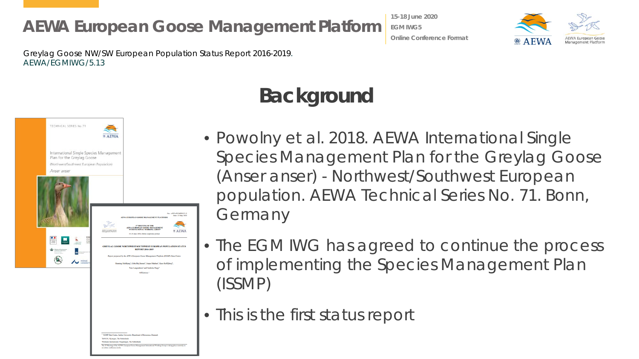**15-18 June 2020 EGM IWG5 Online Conference Format**



Greylag Goose NW/SW European Population Status Report 2016-2019. AEWA/EGMIWG/5.13



## **Background**

- Powolny et al. 2018. AEWA International Single Species Management Plan for the Greylag Goose (Anser anser) - Northwest/Southwest European population. AEWA Technical Series No. 71. Bonn, Germany
- The EGM IWG has agreed to continue the process of implementing the Species Management Plan (ISSMP)
- This is the first status report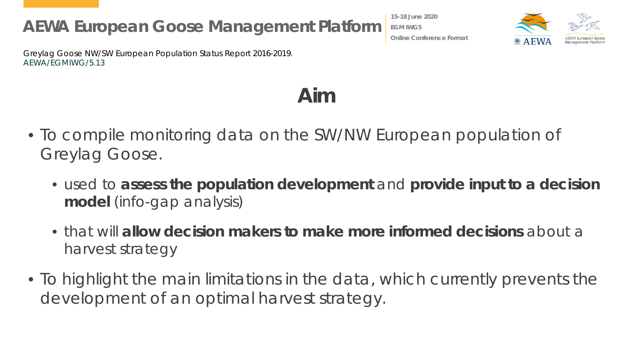Greylag Goose NW/SW European Population Status Report 2016-2019. AEWA/EGMIWG/5.13

**EGM IWG5 Online Conference Format**

**15-18 June 2020**



**Aim**

- To compile monitoring data on the SW/NW European population of Greylag Goose.
	- used to **assess the population development** and **provide input to a decision model** (info-gap analysis)
	- that will **allow decision makers to make more informed decisions** about a harvest strategy
- To highlight the main limitations in the data, which currently prevents the development of an optimal harvest strategy.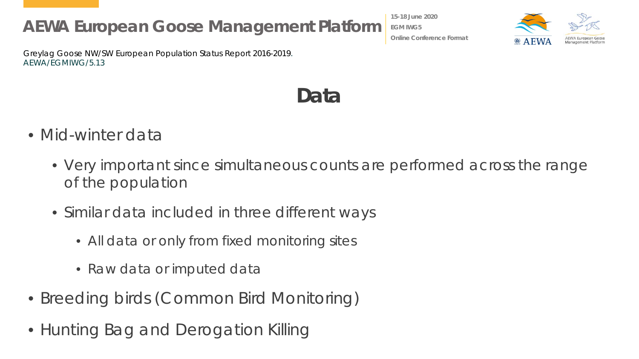Greylag Goose NW/SW European Population Status Report 2016-2019. AEWA/EGMIWG/5.13

- Mid-winter data
	- Very important since simultaneous counts are performed across the range of the population
	- Similar data included in three different ways
		- All data or only from fixed monitoring sites
		- Raw data or imputed data
- Breeding birds (Common Bird Monitoring)
- Hunting Bag and Derogation Killing

**EGM IWG5 Online Conference Format**

**15-18 June 2020**



**Data**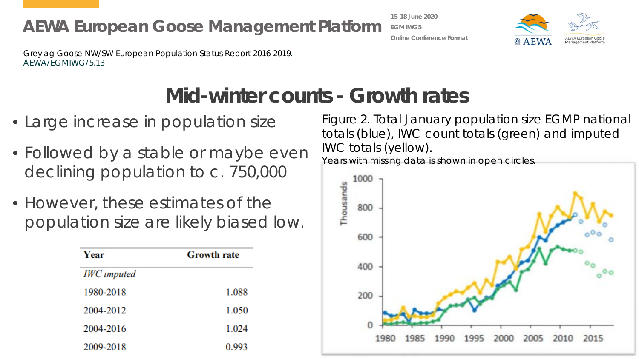**15-18 June 2020 EGM IWG5 Online Conference Format**



Greylag Goose NW/SW European Population Status Report 2016-2019. AEWA/EGMIWG/5.13

#### **Mid-winter counts - Growth rates**

- Large increase in population size
- Followed by a stable or maybe even declining population to c. 750,000
- However, these estimates of the population size are likely biased low.

| Year               | <b>Growth rate</b> |
|--------------------|--------------------|
| <b>IWC</b> imputed |                    |
| 1980-2018          | 1.088              |
| 2004-2012          | 1.050              |
| 2004-2016          | 1.024              |
| 2009-2018          | 0.993              |

Figure 2. Total January population size EGMP national totals (blue), IWC count totals (green) and imputed IWC totals (yellow).

Years with missing data is shown in open circles.

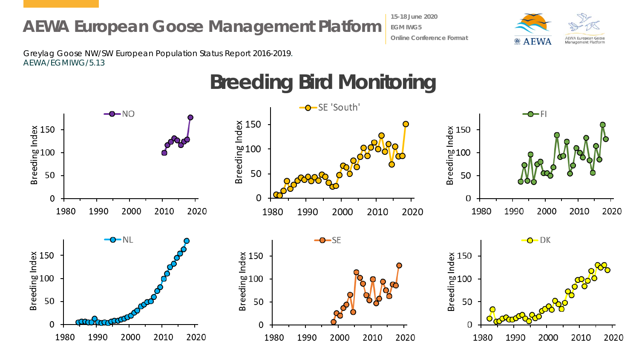**15-18 June 2020 EGM IWG5 Online Conference Format**



Greylag Goose NW/SW European Population Status Report 2016-2019. AEWA/EGMIWG/5.13

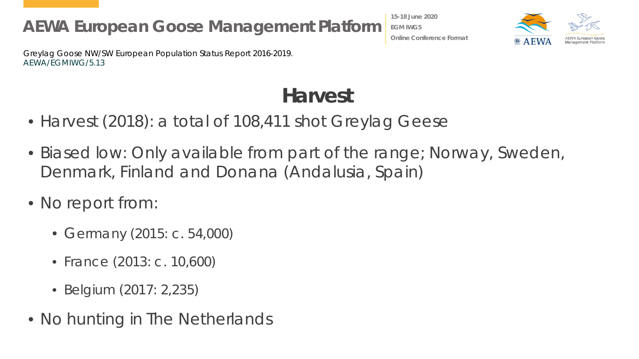**15-18 June 2020 EGM IWG5 Online Conference Format**



Greylag Goose NW/SW European Population Status Report 2016-2019. AEWA/EGMIWG/5.13

### **Harvest**

- Harvest (2018): a total of 108,411 shot Greylag Geese
- Biased low: Only available from part of the range; Norway, Sweden, Denmark, Finland and Donana (Andalusia, Spain)
- No report from:
	- Germany (2015: c. 54,000)
	- France (2013: c. 10,600)
	- Belgium (2017: 2,235)
- No hunting in The Netherlands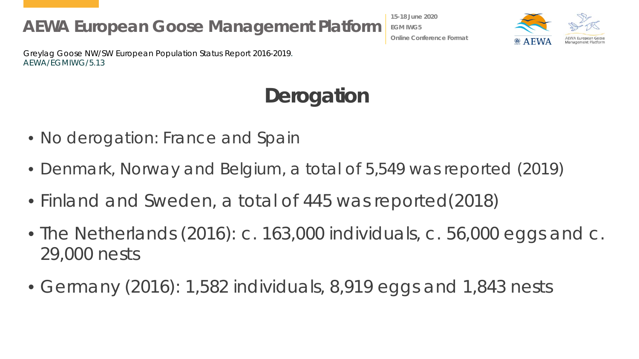Greylag Goose NW/SW European Population Status Report 2016-2019. AEWA/EGMIWG/5.13

## **Derogation**

- No derogation: France and Spain
- Denmark, Norway and Belgium, a total of 5,549 was reported (2019)
- Finland and Sweden, a total of 445 was reported(2018)
- The Netherlands (2016): c. 163,000 individuals, c. 56,000 eggs and c. 29,000 nests
- Germany (2016): 1,582 individuals, 8,919 eggs and 1,843 nests



**15-18 June 2020 EGM IWG5 Online Conference Format**

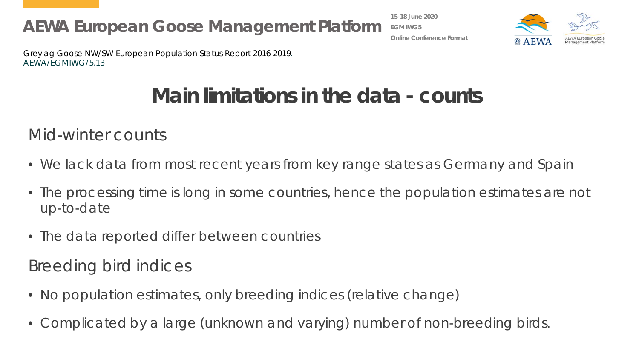**15-18 June 2020 EGM IWG5 Online Conference Format**



Greylag Goose NW/SW European Population Status Report 2016-2019. AEWA/EGMIWG/5.13

### **Main limitations in the data - counts**

Mid-winter counts

- We lack data from most recent years from key range states as Germany and Spain
- The processing time is long in some countries, hence the population estimates are not up-to-date
- The data reported differ between countries

Breeding bird indices

- No population estimates, only breeding indices (relative change)
- Complicated by a large (unknown and varying) number of non-breeding birds.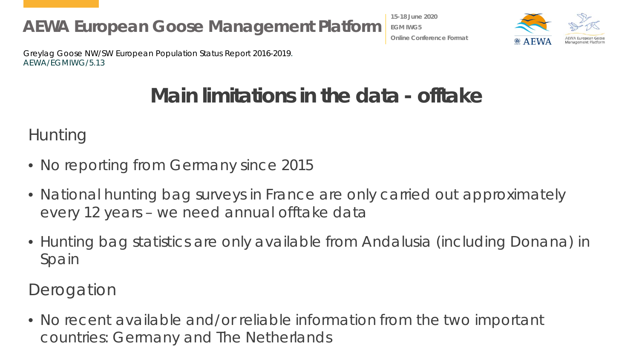**15-18 June 2020 EGM IWG5 Online Conference Format**



Greylag Goose NW/SW European Population Status Report 2016-2019. AEWA/EGMIWG/5.13

### **Main limitations in the data - offtake**

Hunting

- No reporting from Germany since 2015
- National hunting bag surveys in France are only carried out approximately every 12 years – we need annual offtake data
- Hunting bag statistics are only available from Andalusia (including Donana) in Spain

**Derogation** 

• No recent available and/or reliable information from the two important countries: Germany and The Netherlands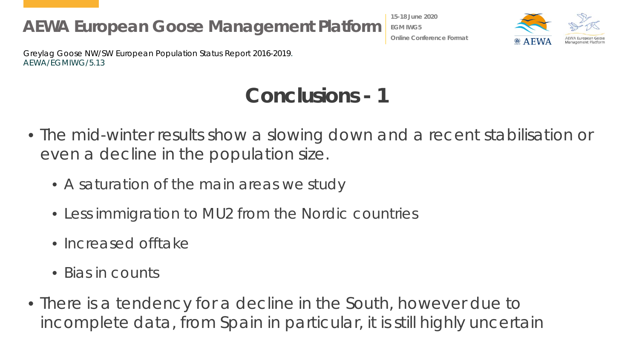**15-18 June 2020 EGM IWG5 Online Conference Format**



Greylag Goose NW/SW European Population Status Report 2016-2019. AEWA/EGMIWG/5.13

## **Conclusions - 1**

- The mid-winter results show a slowing down and a recent stabilisation or even a decline in the population size.
	- A saturation of the main areas we study
	- Less immigration to MU2 from the Nordic countries
	- Increased offtake
	- Bias in counts
- There is a tendency for a decline in the South, however due to incomplete data, from Spain in particular, it is still highly uncertain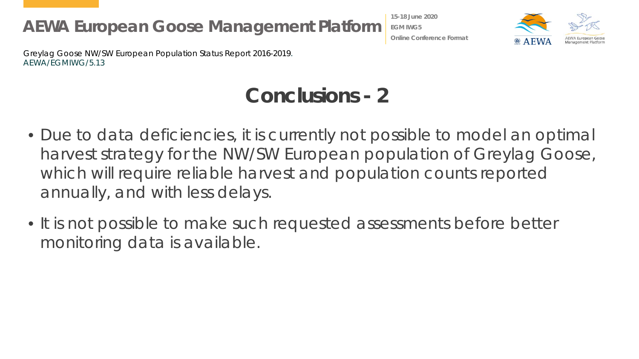**15-18 June 2020 EGM IWG5 Online Conference Format**



Greylag Goose NW/SW European Population Status Report 2016-2019. AEWA/EGMIWG/5.13

## **Conclusions - 2**

- Due to data deficiencies, it is currently not possible to model an optimal harvest strategy for the NW/SW European population of Greylag Goose, which will require reliable harvest and population counts reported annually, and with less delays.
- It is not possible to make such requested assessments before better monitoring data is available.